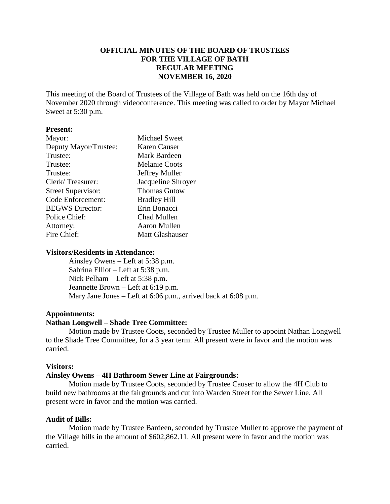# **OFFICIAL MINUTES OF THE BOARD OF TRUSTEES FOR THE VILLAGE OF BATH REGULAR MEETING NOVEMBER 16, 2020**

This meeting of the Board of Trustees of the Village of Bath was held on the 16th day of November 2020 through videoconference. This meeting was called to order by Mayor Michael Sweet at 5:30 p.m.

#### **Present:**

| Mayor:                    | <b>Michael Sweet</b> |
|---------------------------|----------------------|
| Deputy Mayor/Trustee:     | Karen Causer         |
| Trustee:                  | Mark Bardeen         |
| Trustee:                  | <b>Melanie Coots</b> |
| Trustee:                  | Jeffrey Muller       |
| Clerk/Treasurer:          | Jacqueline Shroyer   |
| <b>Street Supervisor:</b> | <b>Thomas Gutow</b>  |
| Code Enforcement:         | <b>Bradley Hill</b>  |
| <b>BEGWS</b> Director:    | Erin Bonacci         |
| Police Chief:             | Chad Mullen          |
| Attorney:                 | Aaron Mullen         |
| Fire Chief:               | Matt Glashauser      |

#### **Visitors/Residents in Attendance:**

Ainsley Owens – Left at 5:38 p.m. Sabrina Elliot – Left at 5:38 p.m. Nick Pelham – Left at 5:38 p.m. Jeannette Brown – Left at 6:19 p.m. Mary Jane Jones – Left at 6:06 p.m., arrived back at 6:08 p.m.

#### **Appointments:**

#### **Nathan Longwell – Shade Tree Committee:**

Motion made by Trustee Coots, seconded by Trustee Muller to appoint Nathan Longwell to the Shade Tree Committee, for a 3 year term. All present were in favor and the motion was carried.

#### **Visitors:**

#### **Ainsley Owens – 4H Bathroom Sewer Line at Fairgrounds:**

Motion made by Trustee Coots, seconded by Trustee Causer to allow the 4H Club to build new bathrooms at the fairgrounds and cut into Warden Street for the Sewer Line. All present were in favor and the motion was carried.

#### **Audit of Bills:**

Motion made by Trustee Bardeen, seconded by Trustee Muller to approve the payment of the Village bills in the amount of \$602,862.11. All present were in favor and the motion was carried.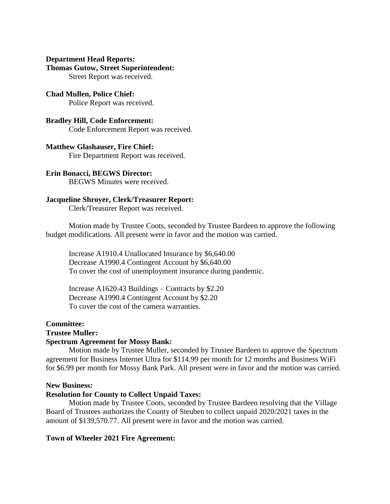#### **Department Head Reports: Thomas Gutow, Street Superintendent:**

Street Report was received.

**Chad Mullen, Police Chief:** Police Report was received.

#### **Bradley Hill, Code Enforcement:** Code Enforcement Report was received.

# **Matthew Glashauser, Fire Chief:**

Fire Department Report was received.

# **Erin Bonacci, BEGWS Director:**

BEGWS Minutes were received.

# **Jacqueline Shroyer, Clerk/Treasurer Report:**

Clerk/Treasurer Report was received.

Motion made by Trustee Coots, seconded by Trustee Bardeen to approve the following budget modifications. All present were in favor and the motion was carried.

Increase A1910.4 Unallocated Insurance by \$6,640.00 Decrease A1990.4 Contingent Account by \$6,640.00 To cover the cost of unemployment insurance during pandemic.

Increase A1620.43 Buildings – Contracts by \$2.20 Decrease A1990.4 Contingent Account by \$2.20 To cover the cost of the camera warranties.

## **Committee:**

## **Trustee Muller:**

## **Spectrum Agreement for Mossy Bank:**

Motion made by Trustee Muller, seconded by Trustee Bardeen to approve the Spectrum agreement for Business Internet Ultra for \$114.99 per month for 12 months and Business WiFi for \$6.99 per month for Mossy Bank Park. All present were in favor and the motion was carried.

## **New Business:**

## **Resolution for County to Collect Unpaid Taxes:**

Motion made by Trustee Coots, seconded by Trustee Bardeen resolving that the Village Board of Trustees authorizes the County of Steuben to collect unpaid 2020/2021 taxes in the amount of \$139,570.77. All present were in favor and the motion was carried.

## **Town of Wheeler 2021 Fire Agreement:**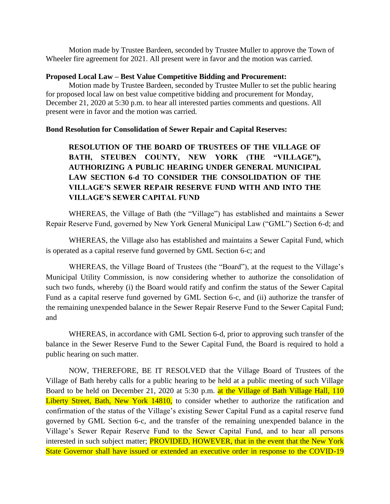Motion made by Trustee Bardeen, seconded by Trustee Muller to approve the Town of Wheeler fire agreement for 2021. All present were in favor and the motion was carried.

#### **Proposed Local Law – Best Value Competitive Bidding and Procurement:**

Motion made by Trustee Bardeen, seconded by Trustee Muller to set the public hearing for proposed local law on best value competitive bidding and procurement for Monday, December 21, 2020 at 5:30 p.m. to hear all interested parties comments and questions. All present were in favor and the motion was carried.

## **Bond Resolution for Consolidation of Sewer Repair and Capital Reserves:**

**RESOLUTION OF THE BOARD OF TRUSTEES OF THE VILLAGE OF BATH, STEUBEN COUNTY, NEW YORK (THE "VILLAGE"), AUTHORIZING A PUBLIC HEARING UNDER GENERAL MUNICIPAL LAW SECTION 6-d TO CONSIDER THE CONSOLIDATION OF THE VILLAGE'S SEWER REPAIR RESERVE FUND WITH AND INTO THE VILLAGE'S SEWER CAPITAL FUND**

WHEREAS, the Village of Bath (the "Village") has established and maintains a Sewer Repair Reserve Fund, governed by New York General Municipal Law ("GML") Section 6-d; and

WHEREAS, the Village also has established and maintains a Sewer Capital Fund, which is operated as a capital reserve fund governed by GML Section 6-c; and

WHEREAS, the Village Board of Trustees (the "Board"), at the request to the Village's Municipal Utility Commission, is now considering whether to authorize the consolidation of such two funds, whereby (i) the Board would ratify and confirm the status of the Sewer Capital Fund as a capital reserve fund governed by GML Section 6-c, and (ii) authorize the transfer of the remaining unexpended balance in the Sewer Repair Reserve Fund to the Sewer Capital Fund; and

WHEREAS, in accordance with GML Section 6-d, prior to approving such transfer of the balance in the Sewer Reserve Fund to the Sewer Capital Fund, the Board is required to hold a public hearing on such matter.

NOW, THEREFORE, BE IT RESOLVED that the Village Board of Trustees of the Village of Bath hereby calls for a public hearing to be held at a public meeting of such Village Board to be held on December 21, 2020 at 5:30 p.m. at the Village of Bath Village Hall, 110 Liberty Street, Bath, New York 14810, to consider whether to authorize the ratification and confirmation of the status of the Village's existing Sewer Capital Fund as a capital reserve fund governed by GML Section 6-c, and the transfer of the remaining unexpended balance in the Village's Sewer Repair Reserve Fund to the Sewer Capital Fund, and to hear all persons interested in such subject matter; **PROVIDED, HOWEVER**, that in the event that the New York State Governor shall have issued or extended an executive order in response to the COVID-19